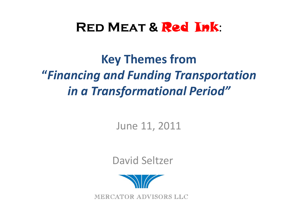# **Red Meat &** Red Ink:

**Key Themes from "***Financing and Funding Transportation in a Transformational Period"*

June 11, 2011

David Seltzer



MERCATOR ADVISORS LLC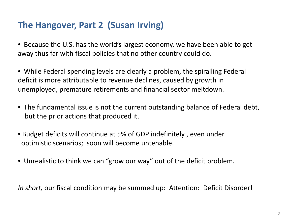## **The Hangover, Part 2 (Susan Irving)**

- Because the U.S. has the world's largest economy, we have been able to get away thus far with fiscal policies that no other country could do.
- While Federal spending levels are clearly a problem, the spiralling Federal deficit is more attributable to revenue declines, caused by growth in unemployed, premature retirements and financial sector meltdown.
- The fundamental issue is not the current outstanding balance of Federal debt, but the prior actions that produced it.
- Budget deficits will continue at 5% of GDP indefinitely , even under optimistic scenarios; soon will become untenable.
- Unrealistic to think we can "grow our way" out of the deficit problem.

*In short,* our fiscal condition may be summed up: Attention: Deficit Disorder!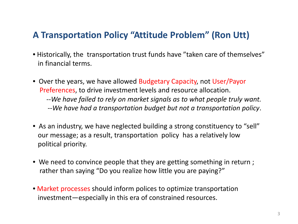## **A Transportation Policy "Attitude Problem" (Ron Utt)**

- Historically, the transportation trust funds have "taken care of themselves" in financial terms.
- Over the years, we have allowed Budgetary Capacity, not User/Payor Preferences, to drive investment levels and resource allocation. --*We have failed to rely on market signals as to what people truly want.* --*We have had a transportation budget but not a transportation policy*.
- As an industry, we have neglected building a strong constituency to "sell" our message; as a result, transportation policy has a relatively low political priority.
- We need to convince people that they are getting something in return ; rather than saying "Do you realize how little you are paying?"
- Market processes should inform polices to optimize transportation investment—especially in this era of constrained resources.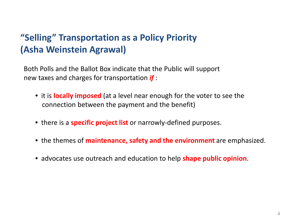## **"Selling" Transportation as a Policy Priority (Asha Weinstein Agrawal)**

Both Polls and the Ballot Box indicate that the Public will support new taxes and charges for transportation *if* :

- it is **locally imposed** (at a level near enough for the voter to see the connection between the payment and the benefit)
- there is a **specific project list** or narrowly-defined purposes.
- the themes of **maintenance, safety and the environment** are emphasized.
- advocates use outreach and education to help **shape public opinion**.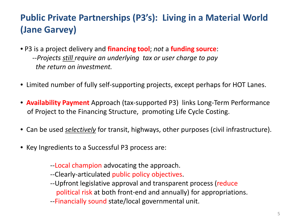## **Public Private Partnerships (P3's): Living in a Material World (Jane Garvey)**

- P3 is a project delivery and **financing tool**; *not* a **funding source**: --*Projects still require an underlying tax or user charge to pay the return on investment.*
- Limited number of fully self-supporting projects, except perhaps for HOT Lanes.
- **Availability Payment** Approach (tax-supported P3) links Long-Term Performance of Project to the Financing Structure, promoting Life Cycle Costing.
- Can be used *selectively* for transit, highways, other purposes (civil infrastructure).
- Key Ingredients to a Successful P3 process are:
	- --Local champion advocating the approach.
	- --Clearly-articulated public policy objectives.
	- -- Upfront legislative approval and transparent process (reduce political risk at both front-end and annually) for appropriations.
	- --Financially sound state/local governmental unit.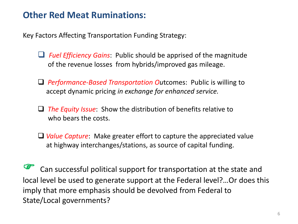### **Other Red Meat Ruminations:**

Key Factors Affecting Transportation Funding Strategy:

- *Fuel Efficiency Gains*: Public should be apprised of the magnitude of the revenue losses from hybrids/improved gas mileage.
- *Performance-Based Transportation Ou*tcomes: Public is willing to accept dynamic pricing *in exchange for enhanced service.*
- *The Equity Issue*: Show the distribution of benefits relative to who bears the costs.
- *Value Capture*: Make greater effort to capture the appreciated value at highway interchanges/stations, as source of capital funding.

 Can successful political support for transportation at the state and local level be used to generate support at the Federal level?…Or does this imply that more emphasis should be devolved from Federal to State/Local governments?